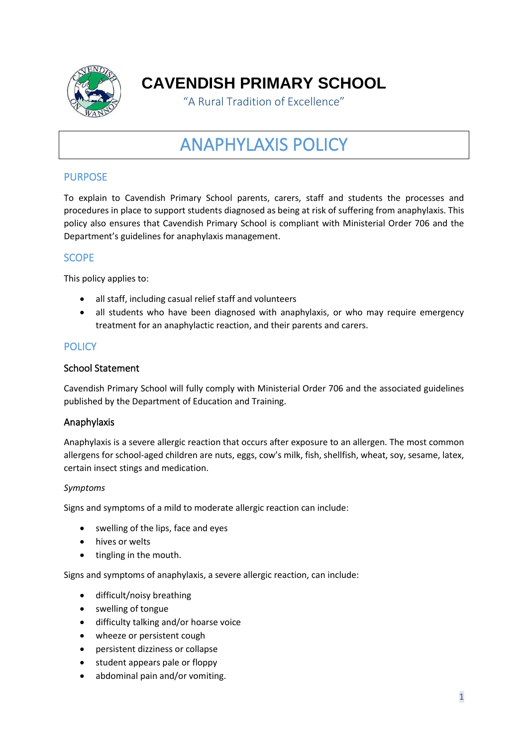

**CAVENDISH PRIMARY SCHOOL**

"A Rural Tradition of Excellence"

# ANAPHYLAXIS POLICY

# **PURPOSE**

To explain to Cavendish Primary School parents, carers, staff and students the processes and procedures in place to support students diagnosed as being at risk of suffering from anaphylaxis. This policy also ensures that Cavendish Primary School is compliant with Ministerial Order 706 and the Department's guidelines for anaphylaxis management.

## **SCOPE**

This policy applies to:

- all staff, including casual relief staff and volunteers
- all students who have been diagnosed with anaphylaxis, or who may require emergency treatment for an anaphylactic reaction, and their parents and carers.

# **POLICY**

### School Statement

Cavendish Primary School will fully comply with Ministerial Order 706 and the associated guidelines published by the Department of Education and Training.

#### Anaphylaxis

Anaphylaxis is a severe allergic reaction that occurs after exposure to an allergen. The most common allergens for school-aged children are nuts, eggs, cow's milk, fish, shellfish, wheat, soy, sesame, latex, certain insect stings and medication.

#### *Symptoms*

Signs and symptoms of a mild to moderate allergic reaction can include:

- swelling of the lips, face and eyes
- hives or welts
- tingling in the mouth.

Signs and symptoms of anaphylaxis, a severe allergic reaction, can include:

- difficult/noisy breathing
- swelling of tongue
- difficulty talking and/or hoarse voice
- wheeze or persistent cough
- persistent dizziness or collapse
- student appears pale or floppy
- abdominal pain and/or vomiting.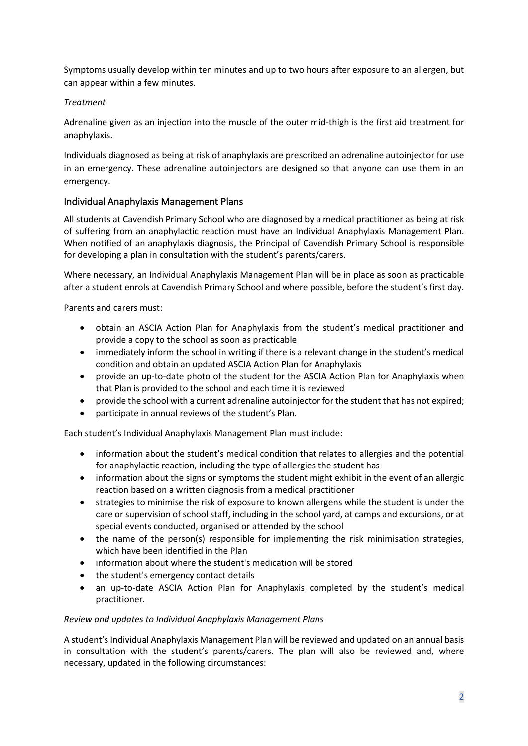Symptoms usually develop within ten minutes and up to two hours after exposure to an allergen, but can appear within a few minutes.

## *Treatment*

Adrenaline given as an injection into the muscle of the outer mid-thigh is the first aid treatment for anaphylaxis.

Individuals diagnosed as being at risk of anaphylaxis are prescribed an adrenaline autoinjector for use in an emergency. These adrenaline autoinjectors are designed so that anyone can use them in an emergency.

## Individual Anaphylaxis Management Plans

All students at Cavendish Primary School who are diagnosed by a medical practitioner as being at risk of suffering from an anaphylactic reaction must have an Individual Anaphylaxis Management Plan. When notified of an anaphylaxis diagnosis, the Principal of Cavendish Primary School is responsible for developing a plan in consultation with the student's parents/carers.

Where necessary, an Individual Anaphylaxis Management Plan will be in place as soon as practicable after a student enrols at Cavendish Primary School and where possible, before the student's first day.

Parents and carers must:

- obtain an ASCIA Action Plan for Anaphylaxis from the student's medical practitioner and provide a copy to the school as soon as practicable
- immediately inform the school in writing if there is a relevant change in the student's medical condition and obtain an updated ASCIA Action Plan for Anaphylaxis
- provide an up-to-date photo of the student for the ASCIA Action Plan for Anaphylaxis when that Plan is provided to the school and each time it is reviewed
- provide the school with a current adrenaline autoinjector for the student that has not expired;
- participate in annual reviews of the student's Plan.

Each student's Individual Anaphylaxis Management Plan must include:

- information about the student's medical condition that relates to allergies and the potential for anaphylactic reaction, including the type of allergies the student has
- information about the signs or symptoms the student might exhibit in the event of an allergic reaction based on a written diagnosis from a medical practitioner
- strategies to minimise the risk of exposure to known allergens while the student is under the care or supervision of school staff, including in the school yard, at camps and excursions, or at special events conducted, organised or attended by the school
- the name of the person(s) responsible for implementing the risk minimisation strategies, which have been identified in the Plan
- information about where the student's medication will be stored
- the student's emergency contact details
- an up-to-date ASCIA Action Plan for Anaphylaxis completed by the student's medical practitioner.

#### *Review and updates to Individual Anaphylaxis Management Plans*

A student's Individual Anaphylaxis Management Plan will be reviewed and updated on an annual basis in consultation with the student's parents/carers. The plan will also be reviewed and, where necessary, updated in the following circumstances: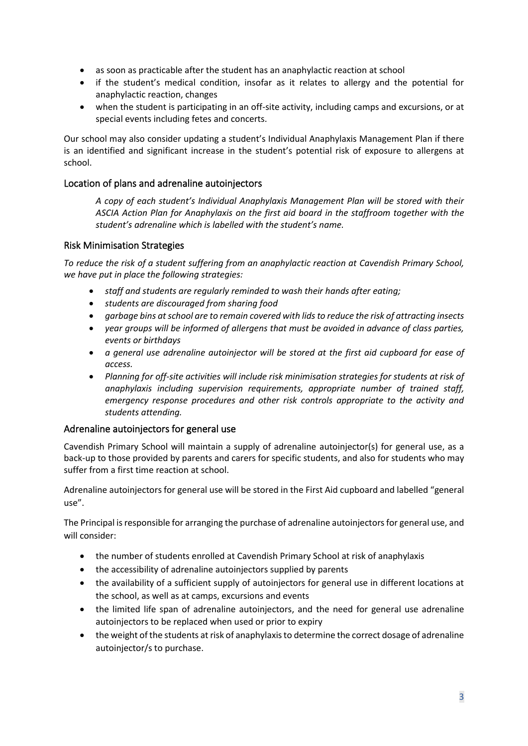- as soon as practicable after the student has an anaphylactic reaction at school
- if the student's medical condition, insofar as it relates to allergy and the potential for anaphylactic reaction, changes
- when the student is participating in an off-site activity, including camps and excursions, or at special events including fetes and concerts.

Our school may also consider updating a student's Individual Anaphylaxis Management Plan if there is an identified and significant increase in the student's potential risk of exposure to allergens at school.

## Location of plans and adrenaline autoinjectors

*A copy of each student's Individual Anaphylaxis Management Plan will be stored with their ASCIA Action Plan for Anaphylaxis on the first aid board in the staffroom together with the student's adrenaline which is labelled with the student's name.*

#### Risk Minimisation Strategies

*To reduce the risk of a student suffering from an anaphylactic reaction at Cavendish Primary School, we have put in place the following strategies:*

- *staff and students are regularly reminded to wash their hands after eating;*
- *students are discouraged from sharing food*
- *garbage bins at school are to remain covered with lids to reduce the risk of attracting insects*
- *year groups will be informed of allergens that must be avoided in advance of class parties, events or birthdays*
- *a general use adrenaline autoinjector will be stored at the first aid cupboard for ease of access.*
- *Planning for off-site activities will include risk minimisation strategies for students at risk of anaphylaxis including supervision requirements, appropriate number of trained staff, emergency response procedures and other risk controls appropriate to the activity and students attending.*

#### Adrenaline autoinjectors for general use

Cavendish Primary School will maintain a supply of adrenaline autoinjector(s) for general use, as a back-up to those provided by parents and carers for specific students, and also for students who may suffer from a first time reaction at school.

Adrenaline autoinjectors for general use will be stored in the First Aid cupboard and labelled "general use".

The Principal is responsible for arranging the purchase of adrenaline autoinjectors for general use, and will consider:

- the number of students enrolled at Cavendish Primary School at risk of anaphylaxis
- the accessibility of adrenaline autoinjectors supplied by parents
- the availability of a sufficient supply of autoinjectors for general use in different locations at the school, as well as at camps, excursions and events
- the limited life span of adrenaline autoinjectors, and the need for general use adrenaline autoinjectors to be replaced when used or prior to expiry
- the weight of the students at risk of anaphylaxis to determine the correct dosage of adrenaline autoinjector/s to purchase.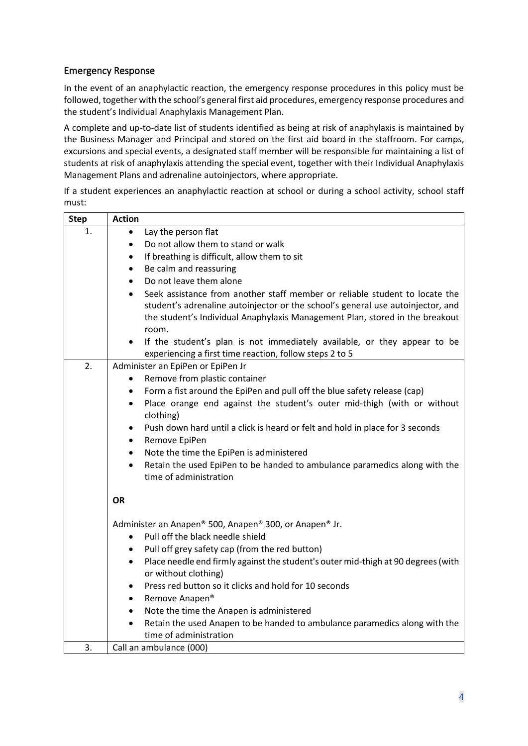# Emergency Response

In the event of an anaphylactic reaction, the emergency response procedures in this policy must be followed, together with the school's general first aid procedures, emergency response procedures and the student's Individual Anaphylaxis Management Plan.

A complete and up-to-date list of students identified as being at risk of anaphylaxis is maintained by the Business Manager and Principal and stored on the first aid board in the staffroom. For camps, excursions and special events, a designated staff member will be responsible for maintaining a list of students at risk of anaphylaxis attending the special event, together with their Individual Anaphylaxis Management Plans and adrenaline autoinjectors, where appropriate.

If a student experiences an anaphylactic reaction at school or during a school activity, school staff must:

| <b>Step</b> | <b>Action</b>                                                                                  |
|-------------|------------------------------------------------------------------------------------------------|
| 1.          | Lay the person flat<br>$\bullet$                                                               |
|             | Do not allow them to stand or walk<br>$\bullet$                                                |
|             | If breathing is difficult, allow them to sit<br>$\bullet$                                      |
|             | Be calm and reassuring<br>$\bullet$                                                            |
|             | Do not leave them alone<br>$\bullet$                                                           |
|             | Seek assistance from another staff member or reliable student to locate the<br>$\bullet$       |
|             | student's adrenaline autoinjector or the school's general use autoinjector, and                |
|             | the student's Individual Anaphylaxis Management Plan, stored in the breakout                   |
|             | room.                                                                                          |
|             | If the student's plan is not immediately available, or they appear to be<br>$\bullet$          |
|             | experiencing a first time reaction, follow steps 2 to 5                                        |
| 2.          | Administer an EpiPen or EpiPen Jr                                                              |
|             | Remove from plastic container<br>$\bullet$                                                     |
|             | Form a fist around the EpiPen and pull off the blue safety release (cap)<br>$\bullet$          |
|             | Place orange end against the student's outer mid-thigh (with or without<br>$\bullet$           |
|             | clothing)                                                                                      |
|             | Push down hard until a click is heard or felt and hold in place for 3 seconds<br>$\bullet$     |
|             | Remove EpiPen<br>$\bullet$                                                                     |
|             | Note the time the EpiPen is administered<br>$\bullet$                                          |
|             | Retain the used EpiPen to be handed to ambulance paramedics along with the<br>$\bullet$        |
|             | time of administration                                                                         |
|             |                                                                                                |
|             | <b>OR</b>                                                                                      |
|             | Administer an Anapen® 500, Anapen® 300, or Anapen® Jr.                                         |
|             | Pull off the black needle shield<br>$\bullet$                                                  |
|             | Pull off grey safety cap (from the red button)<br>$\bullet$                                    |
|             | Place needle end firmly against the student's outer mid-thigh at 90 degrees (with<br>$\bullet$ |
|             | or without clothing)                                                                           |
|             | Press red button so it clicks and hold for 10 seconds<br>$\bullet$                             |
|             | Remove Anapen®<br>$\bullet$                                                                    |
|             | Note the time the Anapen is administered<br>$\bullet$                                          |
|             | Retain the used Anapen to be handed to ambulance paramedics along with the<br>$\bullet$        |
|             | time of administration                                                                         |
| 3.          | Call an ambulance (000)                                                                        |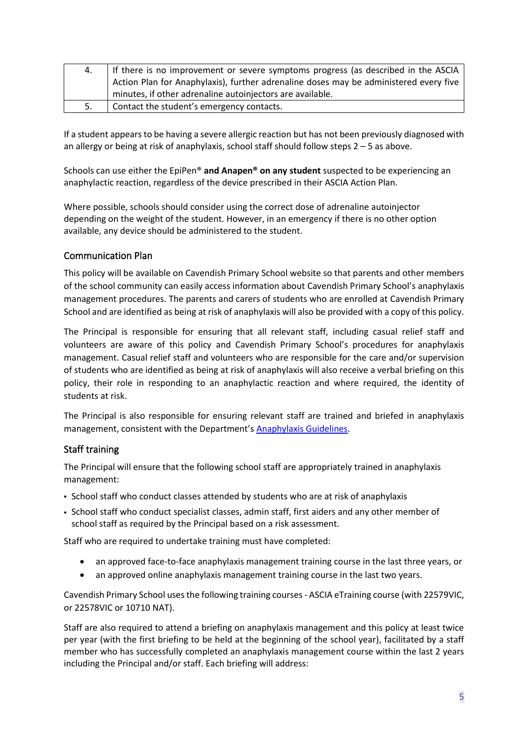| 4. | If there is no improvement or severe symptoms progress (as described in the ASCIA     |  |
|----|---------------------------------------------------------------------------------------|--|
|    | Action Plan for Anaphylaxis), further adrenaline doses may be administered every five |  |
|    | minutes, if other adrenaline autoinjectors are available.                             |  |
| 5. | Contact the student's emergency contacts.                                             |  |

If a student appears to be having a severe allergic reaction but has not been previously diagnosed with an allergy or being at risk of anaphylaxis, school staff should follow steps 2 – 5 as above.

Schools can use either the EpiPen® **and Anapen® on any student** suspected to be experiencing an anaphylactic reaction, regardless of the device prescribed in their ASCIA Action Plan.

Where possible, schools should consider using the correct dose of adrenaline autoinjector depending on the weight of the student. However, in an emergency if there is no other option available, any device should be administered to the student.

## Communication Plan

This policy will be available on Cavendish Primary School website so that parents and other members of the school community can easily access information about Cavendish Primary School's anaphylaxis management procedures. The parents and carers of students who are enrolled at Cavendish Primary School and are identified as being at risk of anaphylaxis will also be provided with a copy of this policy.

The Principal is responsible for ensuring that all relevant staff, including casual relief staff and volunteers are aware of this policy and Cavendish Primary School's procedures for anaphylaxis management. Casual relief staff and volunteers who are responsible for the care and/or supervision of students who are identified as being at risk of anaphylaxis will also receive a verbal briefing on this policy, their role in responding to an anaphylactic reaction and where required, the identity of students at risk.

The Principal is also responsible for ensuring relevant staff are trained and briefed in anaphylaxis management, consistent with the Department's [Anaphylaxis Guidelines.](https://www2.education.vic.gov.au/pal/anaphylaxis/guidance)

#### Staff training

The Principal will ensure that the following school staff are appropriately trained in anaphylaxis management:

- School staff who conduct classes attended by students who are at risk of anaphylaxis
- School staff who conduct specialist classes, admin staff, first aiders and any other member of school staff as required by the Principal based on a risk assessment.

Staff who are required to undertake training must have completed:

- an approved face-to-face anaphylaxis management training course in the last three years, or
- an approved online anaphylaxis management training course in the last two years.

Cavendish Primary School uses the following training courses- ASCIA eTraining course (with 22579VIC, or 22578VIC or 10710 NAT).

Staff are also required to attend a briefing on anaphylaxis management and this policy at least twice per year (with the first briefing to be held at the beginning of the school year), facilitated by a staff member who has successfully completed an anaphylaxis management course within the last 2 years including the Principal and/or staff. Each briefing will address: